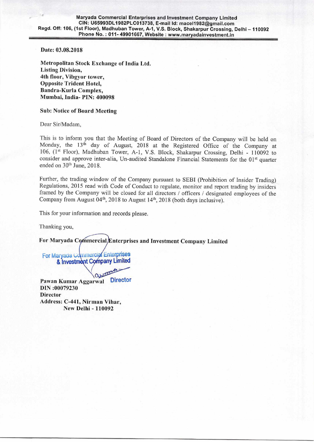Maryada Commercial Enterprises and Investment Company Limited CIN: U65993DL1982PLC013738, E-mail Id: mace11982ggmail.com Regd. Off: 106, (1st Floor), Madhuban Tower, A-1, V.S. Block, Shakarpur Crossing, Delhi — 110092 Phone No.: 011-49901667, Website: www.maryadainvestment.in

**Date: 03.08.2018** 

**Metropolitan Stock** Exchange of India Ltd. **Listing Division, 4th floor, Vibgyor tower, Opposite Trident Hotel, Bandra-Kurla Complex, Mumbai, India- PIN: 400098** 

## **Sub: Notice of Board Meeting**

Dear Sir/Madam,

This is to inform you that the Meeting of Board of Directors of the Company will be held on Monday, the 13<sup>th</sup> day of August, 2018 at the Registered Office of the Company at 106, (1st Floor), Madhuban Tower, A-1, V.S. Block, Shakarpur Crossing, Delhi - 110092 to consider and approve inter-alia, Un-audited Standalone Financial Statements for the 01<sup>st</sup> quarter ended on 30<sup>th</sup> June, 2018.

Further, the trading window of the Company pursuant to SEBI (Prohibition of Insider Trading) Regulations, 2015 read with Code of Conduct to regulate, monitor and report trading by insiders framed by the Company will be closed for all directors / officers / designated employees of the Company from August  $04<sup>th</sup>$ , 2018 to August  $14<sup>th</sup>$ , 2018 (both days inclusive).

This for your information and records please.

Thanking you,

For Maryada Commercial *Enterprises and Investment Company Limited* 

For Maryada Commercial Enterprises & Investment Company Limited

**Pawan** Kumar Aggarwal Director **DIN :00079230 Director Address: C-441, Nirman Vihar, New Delhi - 110092**